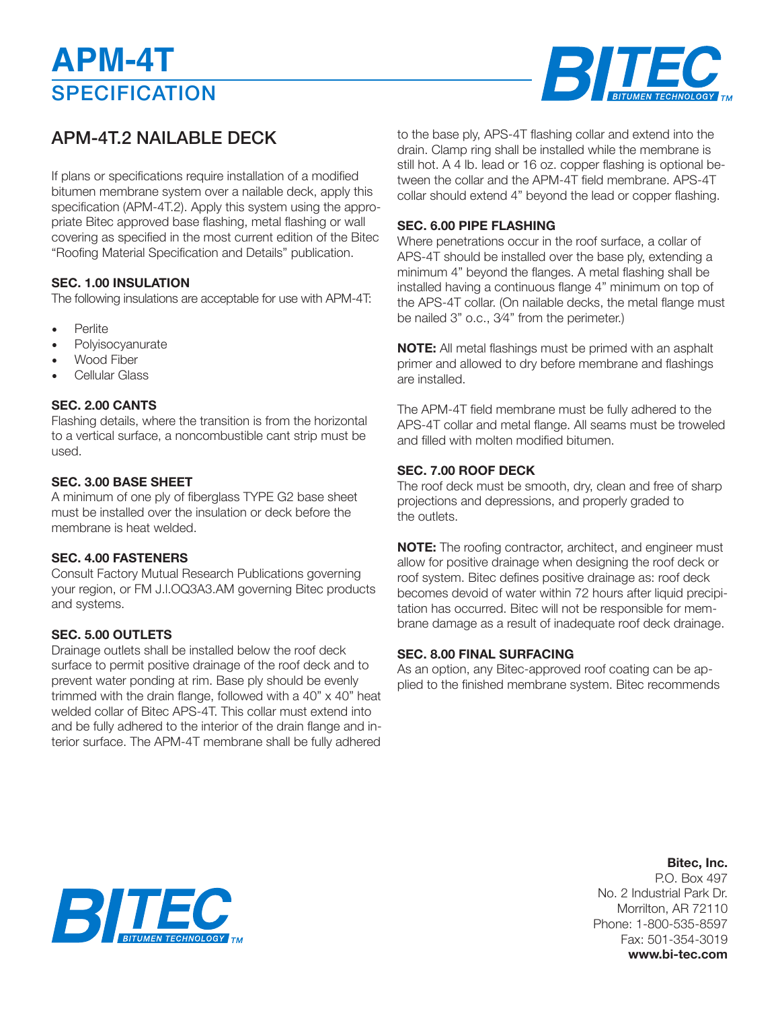# **SPECIFICATION APM-4T**



# APM-4T.2 NAILABLE DECK

If plans or specifications require installation of a modified bitumen membrane system over a nailable deck, apply this specification (APM-4T.2). Apply this system using the appropriate Bitec approved base flashing, metal flashing or wall covering as specified in the most current edition of the Bitec "Roofing Material Specification and Details" publication.

## **SEC. 1.00 INSULATION**

The following insulations are acceptable for use with APM-4T:

- **Perlite**
- **Polyisocyanurate**
- Wood Fiber
- Cellular Glass

### **SEC. 2.00 CANTS**

Flashing details, where the transition is from the horizontal to a vertical surface, a noncombustible cant strip must be used.

### **SEC. 3.00 BASE SHEET**

A minimum of one ply of fiberglass TYPE G2 base sheet must be installed over the insulation or deck before the membrane is heat welded.

### **SEC. 4.00 FASTENERS**

Consult Factory Mutual Research Publications governing your region, or FM J.l.OQ3A3.AM governing Bitec products and systems.

### **SEC. 5.00 OUTLETS**

Drainage outlets shall be installed below the roof deck surface to permit positive drainage of the roof deck and to prevent water ponding at rim. Base ply should be evenly trimmed with the drain flange, followed with a 40" x 40" heat welded collar of Bitec APS-4T. This collar must extend into and be fully adhered to the interior of the drain flange and interior surface. The APM-4T membrane shall be fully adhered to the base ply, APS-4T flashing collar and extend into the drain. Clamp ring shall be installed while the membrane is still hot. A 4 lb. lead or 16 oz. copper flashing is optional between the collar and the APM-4T field membrane. APS-4T collar should extend 4" beyond the lead or copper flashing.

#### **SEC. 6.00 PIPE FLASHING**

Where penetrations occur in the roof surface, a collar of APS-4T should be installed over the base ply, extending a minimum 4" beyond the flanges. A metal flashing shall be installed having a continuous flange 4" minimum on top of the APS-4T collar. (On nailable decks, the metal flange must be nailed 3" o.c., 3⁄4" from the perimeter.)

**NOTE:** All metal flashings must be primed with an asphalt primer and allowed to dry before membrane and flashings are installed.

The APM-4T field membrane must be fully adhered to the APS-4T collar and metal flange. All seams must be troweled and filled with molten modified bitumen.

### **SEC. 7.00 ROOF DECK**

The roof deck must be smooth, dry, clean and free of sharp projections and depressions, and properly graded to the outlets.

**NOTE:** The roofing contractor, architect, and engineer must allow for positive drainage when designing the roof deck or roof system. Bitec defines positive drainage as: roof deck becomes devoid of water within 72 hours after liquid precipitation has occurred. Bitec will not be responsible for membrane damage as a result of inadequate roof deck drainage.

#### **SEC. 8.00 FINAL SURFACING**

As an option, any Bitec-approved roof coating can be applied to the finished membrane system. Bitec recommends



**Bitec, Inc.**

P.O. Box 497 No. 2 Industrial Park Dr. Morrilton, AR 72110 Phone: 1-800-535-8597 Fax: 501-354-3019 **www.bi-tec.com**